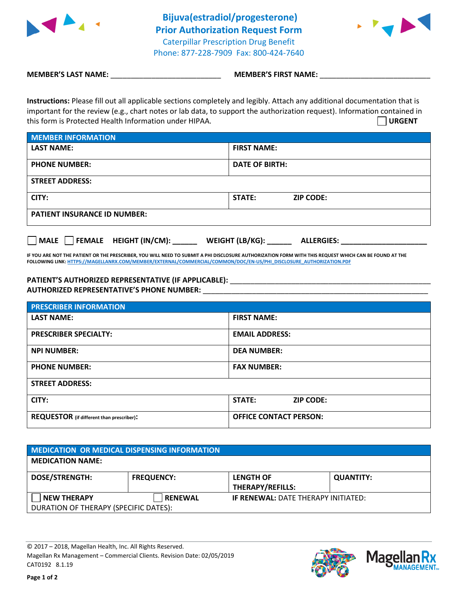



**MEMBER'S LAST NAME:**  $\blacksquare$  **MEMBER'S FIRST NAME:** 

**Instructions:** Please fill out all applicable sections completely and legibly. Attach any additional documentation that is important for the review (e.g., chart notes or lab data, to support the authorization request). Information contained in this form is Protected Health Information under HIPAA. **URGENT**

| <b>MEMBER INFORMATION</b>           |                            |  |  |
|-------------------------------------|----------------------------|--|--|
| <b>LAST NAME:</b>                   | <b>FIRST NAME:</b>         |  |  |
| <b>PHONE NUMBER:</b>                | <b>DATE OF BIRTH:</b>      |  |  |
| <b>STREET ADDRESS:</b>              |                            |  |  |
| CITY:                               | STATE:<br><b>ZIP CODE:</b> |  |  |
| <b>PATIENT INSURANCE ID NUMBER:</b> |                            |  |  |

**MALE FEMALE HEIGHT (IN/CM): \_\_\_\_\_\_ WEIGHT (LB/KG): \_\_\_\_\_\_ ALLERGIES: \_\_\_\_\_\_\_\_\_\_\_\_\_\_\_\_\_\_\_\_\_**

**IF YOU ARE NOT THE PATIENT OR THE PRESCRIBER, YOU WILL NEED TO SUBMIT A PHI DISCLOSURE AUTHORIZATION FORM WITH THIS REQUEST WHICH CAN BE FOUND AT THE FOLLOWING LINK[: HTTPS://MAGELLANRX.COM/MEMBER/EXTERNAL/COMMERCIAL/COMMON/DOC/EN-US/PHI\\_DISCLOSURE\\_AUTHORIZATION.PDF](https://magellanrx.com/member/external/commercial/common/doc/en-us/PHI_Disclosure_Authorization.pdf)**

## PATIENT'S AUTHORIZED REPRESENTATIVE (IF APPLICABLE): **\_\_\_\_\_\_\_\_\_\_\_\_\_\_\_\_\_\_\_\_\_\_\_\_\_\_ AUTHORIZED REPRESENTATIVE'S PHONE NUMBER:** \_\_\_\_\_\_\_\_\_\_\_\_\_\_\_\_\_\_\_\_\_\_\_\_\_\_\_\_\_\_\_\_\_\_\_\_\_\_\_\_\_\_\_\_\_\_\_\_\_\_\_\_\_\_\_

| <b>PRESCRIBER INFORMATION</b>             |                                   |  |  |
|-------------------------------------------|-----------------------------------|--|--|
| <b>LAST NAME:</b>                         | <b>FIRST NAME:</b>                |  |  |
| <b>PRESCRIBER SPECIALTY:</b>              | <b>EMAIL ADDRESS:</b>             |  |  |
| <b>NPI NUMBER:</b>                        | <b>DEA NUMBER:</b>                |  |  |
| <b>PHONE NUMBER:</b>                      | <b>FAX NUMBER:</b>                |  |  |
| <b>STREET ADDRESS:</b>                    |                                   |  |  |
| CITY:                                     | <b>STATE:</b><br><b>ZIP CODE:</b> |  |  |
| REQUESTOR (if different than prescriber): | <b>OFFICE CONTACT PERSON:</b>     |  |  |

| <b>MEDICATION OR MEDICAL DISPENSING INFORMATION</b> |                   |                                             |                  |  |  |
|-----------------------------------------------------|-------------------|---------------------------------------------|------------------|--|--|
| <b>MEDICATION NAME:</b>                             |                   |                                             |                  |  |  |
| <b>DOSE/STRENGTH:</b>                               | <b>FREQUENCY:</b> | <b>LENGTH OF</b><br><b>THERAPY/REFILLS:</b> | <b>QUANTITY:</b> |  |  |
| <b>NEW THERAPY</b>                                  | <b>RENEWAL</b>    | <b>IF RENEWAL: DATE THERAPY INITIATED:</b>  |                  |  |  |
| DURATION OF THERAPY (SPECIFIC DATES):               |                   |                                             |                  |  |  |

© 2017 – 2018, Magellan Health, Inc. All Rights Reserved. Magellan Rx Management – Commercial Clients. Revision Date: 02/05/2019 CAT0192 8.1.19